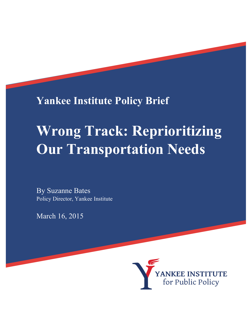**Yankee Institute Policy Brief**

# **Wrong Track: Reprioritizing Our Transportation Needs**

By Suzanne Bates Policy Director, Yankee Institute

March 16, 2015

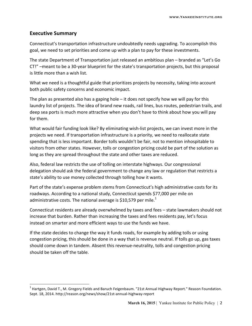#### **Executive Summary**

!!!!!!!!!!!!!!!!!!!!!!!!!!!!!!!!!!!!!!!!!!!!!!!!!!!!!!!!!!!!

Connecticut's transportation infrastructure undoubtedly needs upgrading. To accomplish this goal, we need to set priorities and come up with a plan to pay for these investments.

The state Department of Transportation just released an ambitious plan – branded as "Let's Go CT!" –meant to be a 30-year blueprint for the state's transportation projects, but this proposal is little more than a wish list.

What we need is a thoughtful guide that prioritizes projects by necessity, taking into account both public safety concerns and economic impact.

The plan as presented also has a gaping hole – it does not specify how we will pay for this laundry list of projects. The idea of brand new roads, rail lines, bus routes, pedestrian trails, and deep sea ports is much more attractive when you don't have to think about how you will pay for them.

What would fair funding look like? By eliminating wish-list projects, we can invest more in the projects we need. If transportation infrastructure is a priority, we need to reallocate state spending that is less important. Border tolls wouldn't be fair, not to mention inhospitable to visitors from other states. However, tolls or congestion pricing could be part of the solution as long as they are spread throughout the state and other taxes are reduced.

Also, federal law restricts the use of tolling on interstate highways. Our congressional delegation should ask the federal government to change any law or regulation that restricts a state's ability to use money collected through tolling how it wants.

Part of the state's expense problem stems from Connecticut's high administrative costs for its roadways. According to a national study, Connecticut spends \$77,000 per mile on administrative costs. The national average is \$10,579 per mile.<sup>1</sup>

Connecticut residents are already overwhelmed by taxes and fees – state lawmakers should not increase that burden. Rather than increasing the taxes and fees residents pay, let's focus instead on smarter and more efficient ways to use the funds we have.

If the state decides to change the way it funds roads, for example by adding tolls or using congestion pricing, this should be done in a way that is revenue neutral. If tolls go up, gas taxes should come down in tandem. Absent this revenue-neutrality, tolls and congestion pricing should be taken off the table.

 $1$  Hartgen, David T., M. Gregory Fields and Baruch Feigenbaum. "21st Annual Highway Report." Reason Foundation. Sept. 18, 2014. http://reason.org/news/show/21st-annual-highway-report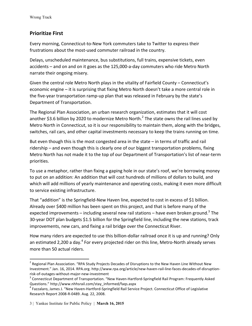### **Prioritize First**

Every morning, Connecticut-to-New York commuters take to Twitter to express their frustrations about the most-used commuter railroad in the country.

Delays, unscheduled maintenance, bus substitutions, full trains, expensive tickets, even accidents – and on and on it goes as the 125,000-a-day commuters who ride Metro North narrate their ongoing misery.

Given the central role Metro North plays in the vitality of Fairfield County – Connecticut's economic engine – it is surprising that fixing Metro North doesn't take a more central role in the five-year transportation ramp-up plan that was released in February by the state's Department of Transportation.

The Regional Plan Association, an urban research organization, estimates that it will cost another \$3.6 billion by 2020 to modernize Metro North.<sup>2</sup> The state owns the rail lines used by Metro North in Connecticut, so it is our responsibility to maintain them, along with the bridges, switches, rail cars, and other capital investments necessary to keep the trains running on time.

But even though this is the most congested area in the state  $-$  in terms of traffic and rail ridership – and even though this is clearly one of our biggest transportation problems, fixing Metro North has not made it to the top of our Department of Transportation's list of near-term priorities.

To use a metaphor, rather than fixing a gaping hole in our state's roof, we're borrowing money to put on an addition: An addition that will cost hundreds of millions of dollars to build, and which will add millions of yearly maintenance and operating costs, making it even more difficult to service existing infrastructure.

That "addition" is the Springfield-New Haven line, expected to cost in excess of \$1 billion. Already over \$400 million has been spent on this project, and that is before many of the expected improvements – including several new rail stations – have even broken ground.<sup>3</sup> The 30-year DOT plan budgets \$1.5 billion for the Springfield line, including the new stations, track improvements, new cars, and fixing a rail bridge over the Connecticut River.

How many riders are expected to use this billion-dollar railroad once it is up and running? Only an estimated 2,200 a day.<sup>4</sup> For every projected rider on this line, Metro-North already serves more than 50 actual riders.

!!!!!!!!!!!!!!!!!!!!!!!!!!!!!!!!!!!!!!!!!!!!!!!!!!!!!!!!!!!!

<sup>&</sup>lt;sup>2</sup> Regional Plan Association. "RPA Study Projects Decades of Disruptions to the New Haven Line Without New Investment." Jan. 16, 2014. RPA.org. http://www.rpa.org/article/new-haven-rail-line-faces-decades-of-disruptionrisk-of-outages-without-major-new-investment<br><sup>3</sup> Connecticut Department of Transportation. "New Haven-Hartford-Springfield Rail Program: Frequently Asked

Questions."!http://www.nhhsrail.com/stay\_informed/faqs.aspx

<sup>&</sup>lt;sup>4</sup> Fazzalaro, James J. "New Haven-Hartford-Springfield Rail Service Project. Connecticut Office of Legislative Research Report 2008-R-0489. Aug. 22, 2008.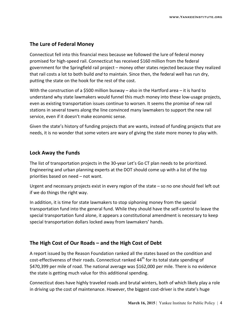#### **The Lure of Federal Money**

Connecticut fell into this financial mess because we followed the lure of federal money promised for high-speed rail. Connecticut has received \$160 million from the federal government for the Springfield rail project – money other states rejected because they realized that rail costs a lot to both build *and* to maintain. Since then, the federal well has run dry, putting the state on the hook for the rest of the cost.

With the construction of a \$500 million busway – also in the Hartford area – it is hard to understand why state lawmakers would funnel this much money into these low-usage projects, even as existing transportation issues continue to worsen. It seems the promise of new rail stations in several towns along the line convinced many lawmakers to support the new rail service, even if it doesn't make economic sense.

Given the state's history of funding projects that are wants, instead of funding projects that are needs, it is no wonder that some voters are wary of giving the state more money to play with.

#### Lock Away the Funds

The list of transportation projects in the 30-year Let's Go CT plan needs to be prioritized. Engineering and urban planning experts at the DOT should come up with a list of the top priorities based on need – not want.

Urgent and necessary projects exist in every region of the state  $-$  so no one should feel left out if we do things the right way.

In addition, it is time for state lawmakers to stop siphoning money from the special transportation fund into the general fund. While they should have the self-control to leave the special transportation fund alone, it appears a constitutional amendment is necessary to keep special transportation dollars locked away from lawmakers' hands.

### The High Cost of Our Roads – and the High Cost of Debt

A report issued by the Reason Foundation ranked all the states based on the condition and cost-effectiveness of their roads. Connecticut ranked 44<sup>th</sup> for its total state spending of \$470,399 per mile of road. The national average was \$162,000 per mile. There is no evidence the state is getting much value for this additional spending.

Connecticut does have highly traveled roads and brutal winters, both of which likely play a role in driving up the cost of maintenance. However, the biggest cost-driver is the state's huge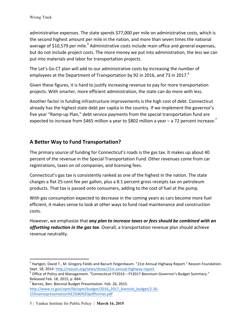administrative expenses. The state spends \$77,000 per mile on administrative costs, which is the second highest amount per mile in the nation, and more than seven times the national average of \$10,579 per mile.<sup>5</sup> Administrative costs include main office and general expenses, but do not include project costs. The more money we put into administration, the less we can put into materials and labor for transportation projects.

The Let's Go CT plan will add to our administrative costs by increasing the number of employees at the Department of Transportation by 92 in 2016, and 73 in 2017.<sup>6</sup>

Given these figures, it is hard to justify increasing revenue to pay for more transportation projects. With smarter, more efficient administration, the state can do more with less.

Another factor in funding infrastructure improvements is the high cost of debt. Connecticut already has the highest state debt per capita in the country. If we implement the governor's five year "Ramp-up Plan," debt service payments from the special transportation fund are expected to increase from \$465 million a year to \$802 million a year – a 72 percent increase.<sup>7</sup>

## A Better Way to Fund Transportation?

The primary source of funding for Connecticut's roads is the gas tax. It makes up about 40 percent of the revenue in the Special Transportation Fund. Other revenues come from car registrations, taxes on oil companies, and licensing fees.

Connecticut's gas tax is consistently ranked as one of the highest in the nation. The state charges a flat 25-cent fee per gallon, plus a 8.1 percent gross receipts tax on petroleum products. That tax is passed onto consumers, adding to the cost of fuel at the pump.

With gas consumption expected to decrease in the coming years as cars become more fuel efficient, it makes sense to look at other ways to fund road maintenance and construction costs.

However, we emphasize that *any plan to increase taxes or fees should be combined with an offsetting reduction in the gas tax.* Overall, a transportation revenue plan should achieve revenue neutrality.

!!!!!!!!!!!!!!!!!!!!!!!!!!!!!!!!!!!!!!!!!!!!!!!!!!!!!!!!!!!!

<sup>&</sup>lt;sup>5</sup> Hartgen, David T., M. Gregory Fields and Baruch Feigenbaum. "21st Annual Highway Report." Reason Foundation. Sept. 18, 2014. http://reason.org/news/show/21st-annual-highway-report.<br><sup>6</sup> Office of Policy and Management. "Connecticut FY2016 – FY2017 Biennium Governor's Budget Summary."

Released Feb. 18, 2015, p. B64.

 $<sup>7</sup>$  Barnes, Ben. Biennial Budget Presentation. Feb. 26, 2015.</sup> http://www.ct.gov/opm/lib/opm/budget/2016\_2017\_biennial\_budget/2-26-15financepresentation%E2%80%93pdfformat.pdf

<sup>5</sup> | Yankee Institute for Public Policy | **March 16, 2015**